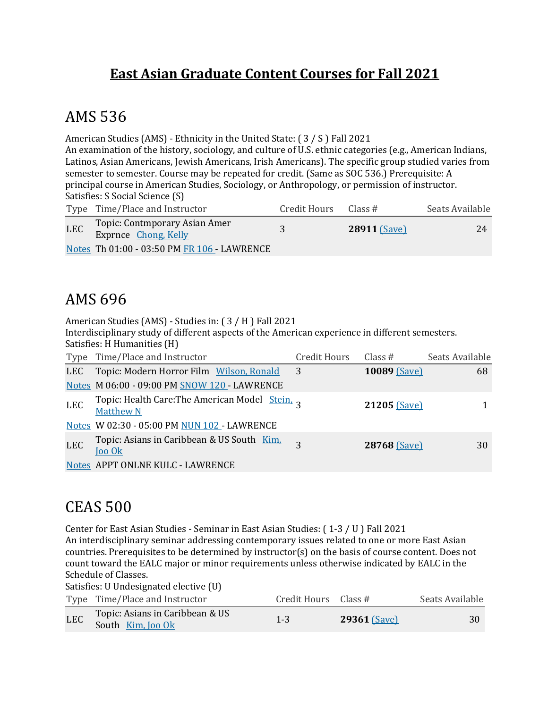#### **East Asian Graduate Content Courses for Fall 2021**

#### AMS 536

American Studies (AMS) - Ethnicity in the United State:  $(3 / S)$  Fall 2021

An examination of the history, sociology, and culture of U.S. ethnic categories (e.g., American Indians, Latinos, Asian Americans, Jewish Americans, Irish Americans). The specific group studied varies from semester to semester. Course may be repeated for credit. (Same as SOC 536.) Prerequisite: A principal course in American Studies, Sociology, or Anthropology, or permission of instructor. Satisfies: S Social Science (S)

|            | Type Time/Place and Instructor                        | Credit Hours | Class#              | Seats Available |
|------------|-------------------------------------------------------|--------------|---------------------|-----------------|
| <b>LEC</b> | Topic: Contmporary Asian Amer<br>Exprnce Chong, Kelly |              | <b>28911 (Save)</b> | 24              |
|            | Notes Th 01:00 - 03:50 PM FR 106 - LAWRENCE           |              |                     |                 |

### AMS 696

American Studies (AMS) - Studies in: (3 / H ) Fall 2021

Interdisciplinary study of different aspects of the American experience in different semesters. Satisfies: H Humanities (H)

|            | Type Time/Place and Instructor                                      | Credit Hours   | Class $#$    | Seats Available |
|------------|---------------------------------------------------------------------|----------------|--------------|-----------------|
| LEC        | Topic: Modern Horror Film Wilson, Ronald                            | $\overline{3}$ | 10089 (Save) | 68              |
|            | Notes M 06:00 - 09:00 PM SNOW 120 - LAWRENCE                        |                |              |                 |
| LEC        | Topic: Health Care: The American Model Stein, 2<br><b>Matthew N</b> |                | 21205 (Save) |                 |
|            | Notes W 02:30 - 05:00 PM NUN 102 - LAWRENCE                         |                |              |                 |
| <b>LEC</b> | Topic: Asians in Caribbean & US South Kim.<br>Joo Ok                |                | 28768 (Save) | 30              |
|            | Notes APPT ONLNE KULC - LAWRENCE                                    |                |              |                 |

### CEAS 500

Center for East Asian Studies - Seminar in East Asian Studies: (1-3 / U ) Fall 2021 An interdisciplinary seminar addressing contemporary issues related to one or more East Asian countries. Prerequisites to be determined by instructor(s) on the basis of course content. Does not count toward the EALC major or minor requirements unless otherwise indicated by EALC in the Schedule of Classes.

Satisfies: U Undesignated elective (U)

|            | Type Time/Place and Instructor                       | Credit Hours Class # |                | Seats Available |
|------------|------------------------------------------------------|----------------------|----------------|-----------------|
| <b>LEC</b> | Topic: Asians in Caribbean & US<br>South Kim, Joo Ok | $1 - 3$              | $29361$ (Save) | 30              |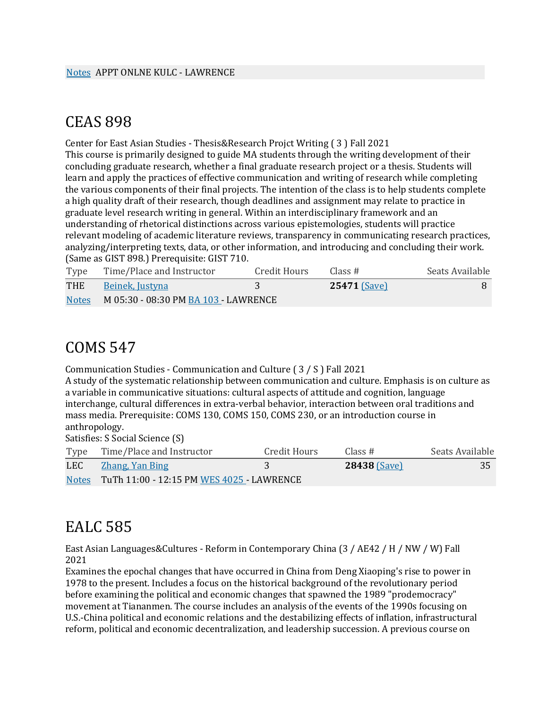#### CEAS 898

Center for East Asian Studies - Thesis&Research Projct Writing (3) Fall 2021 This course is primarily designed to guide MA students through the writing development of their concluding graduate research, whether a final graduate research project or a thesis. Students will learn and apply the practices of effective communication and writing of research while completing the various components of their final projects. The intention of the class is to help students complete a high quality draft of their research, though deadlines and assignment may relate to practice in graduate level research writing in general. Within an interdisciplinary framework and an understanding of rhetorical distinctions across various epistemologies, students will practice relevant modeling of academic literature reviews, transparency in communicating research practices, analyzing/interpreting texts, data, or other information, and introducing and concluding their work. (Same as GIST 898.) Prerequisite: GIST 710.

| Type         | Time/Place and Instructor            | Credit Hours | Class #             | Seats Available |
|--------------|--------------------------------------|--------------|---------------------|-----------------|
| THE          | Beinek, Justyna                      |              | <b>25471 (Save)</b> |                 |
| <b>Notes</b> | M 05:30 - 08:30 PM BA 103 - LAWRENCE |              |                     |                 |

#### COMS 547

Communication Studies - Communication and Culture (3/S) Fall 2021

A study of the systematic relationship between communication and culture. Emphasis is on culture as a variable in communicative situations: cultural aspects of attitude and cognition, language interchange, cultural differences in extra-verbal behavior, interaction between oral traditions and mass media. Prerequisite: COMS 130, COMS 150, COMS 230, or an introduction course in anthropology.

Satisfies: S Social Science (S)

|     | Type Time/Place and Instructor                  | Credit Hours | Class#              | Seats Available |
|-----|-------------------------------------------------|--------------|---------------------|-----------------|
| LEC | Zhang, Yan Bing                                 |              | <b>28438 (Save)</b> | 35              |
|     | Notes TuTh 11:00 - 12:15 PM WES 4025 - LAWRENCE |              |                     |                 |

### EALC 585

East Asian Languages&Cultures - Reform in Contemporary China (3 / AE42 / H / NW / W) Fall 2021

Examines the epochal changes that have occurred in China from Deng Xiaoping's rise to power in 1978 to the present. Includes a focus on the historical background of the revolutionary period before examining the political and economic changes that spawned the 1989 "prodemocracy" movement at Tiananmen. The course includes an analysis of the events of the 1990s focusing on U.S.-China political and economic relations and the destabilizing effects of inflation, infrastructural reform, political and economic decentralization, and leadership succession. A previous course on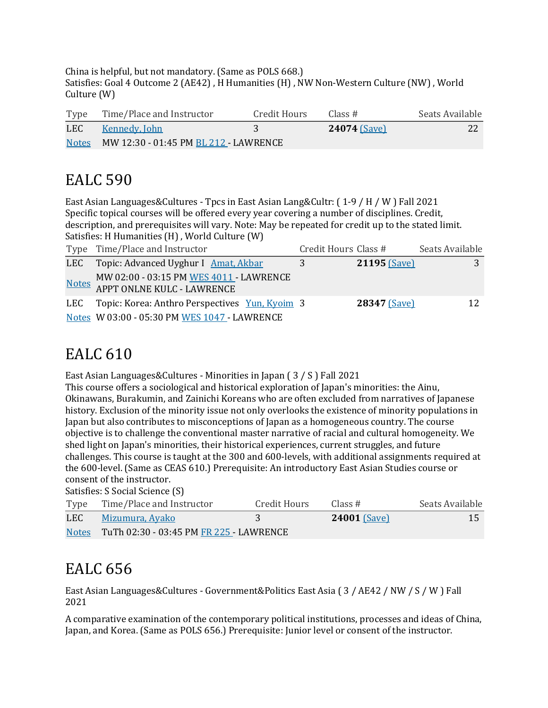China is helpful, but not mandatory. (Same as POLS 668.) Satisfies: Goal 4 Outcome 2 (AE42), H Humanities (H), NW Non-Western Culture (NW), World  $Culture(W)$ 

| Type         | Time/Place and Instructor             | Credit Hours | Class#              | Seats Available |
|--------------|---------------------------------------|--------------|---------------------|-----------------|
| LEC          | Kennedy, John                         |              | <b>24074 (Save)</b> | 22              |
| <b>Notes</b> | MW 12:30 - 01:45 PM BL 212 - LAWRENCE |              |                     |                 |

# EALC 590

East Asian Languages&Cultures - Tpcs in East Asian Lang&Cultr:  $(1-9/H/W)$  Fall 2021 Specific topical courses will be offered every year covering a number of disciplines. Credit, description, and prerequisites will vary. Note: May be repeated for credit up to the stated limit. Satisfies: H Humanities (H), World Culture (W)

| Type Time/Place and Instructor                                        | Credit Hours Class # |              | Seats Available |
|-----------------------------------------------------------------------|----------------------|--------------|-----------------|
| LEC Topic: Advanced Uyghur I Amat, Akbar                              | 3                    | 21195 (Save) |                 |
| MW 02:00 - 03:15 PM WES 4011 - LAWRENCE<br>APPT ONLNE KULC - LAWRENCE |                      |              |                 |
| LEC Topic: Korea: Anthro Perspectives Yun, Kyoim 3                    |                      | 28347 (Save) |                 |
| Notes W 03:00 - 05:30 PM WES 1047 - LAWRENCE                          |                      |              |                 |

## EALC 610

East Asian Languages&Cultures - Minorities in Japan  $(3 / S)$  Fall 2021

This course offers a sociological and historical exploration of Japan's minorities: the Ainu, Okinawans, Burakumin, and Zainichi Koreans who are often excluded from narratives of Japanese history. Exclusion of the minority issue not only overlooks the existence of minority populations in Japan but also contributes to misconceptions of Japan as a homogeneous country. The course objective is to challenge the conventional master narrative of racial and cultural homogeneity. We shed light on Japan's minorities, their historical experiences, current struggles, and future challenges. This course is taught at the 300 and 600-levels, with additional assignments required at the 600-level. (Same as CEAS 610.) Prerequisite: An introductory East Asian Studies course or consent of the instructor.

Satisfies: S Social Science (S)

| Type | Time/Place and Instructor                     | Credit Hours | Class#              | Seats Available |
|------|-----------------------------------------------|--------------|---------------------|-----------------|
| LEC  | Mizumura, Ayako                               |              | <b>24001 (Save)</b> | 15              |
|      | Notes TuTh 02:30 - 03:45 PM FR 225 - LAWRENCE |              |                     |                 |

# EALC 656

East Asian Languages&Cultures - Government&Politics East Asia (3 / AE42 / NW / S / W ) Fall 2021

A comparative examination of the contemporary political institutions, processes and ideas of China, Japan, and Korea. (Same as POLS 656.) Prerequisite: Junior level or consent of the instructor.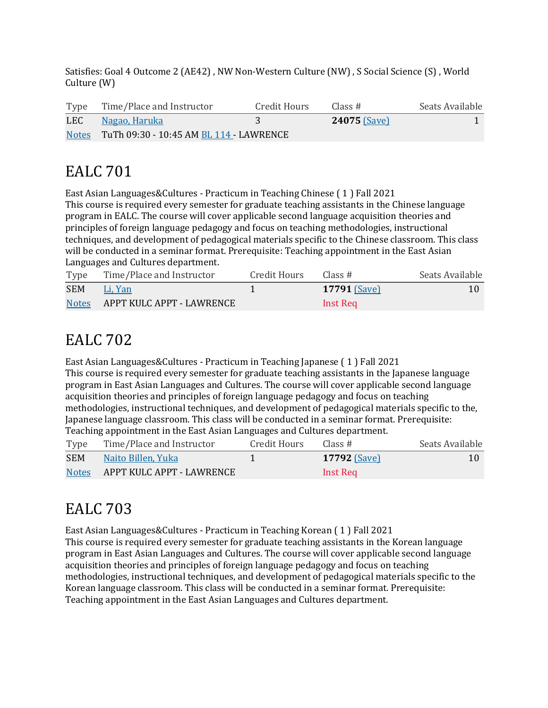Satisfies: Goal 4 Outcome 2 (AE42), NW Non-Western Culture (NW), S Social Science (S), World  $Culture(W)$ 

|     | Type Time/Place and Instructor                | Credit Hours | Class #             | Seats Available |
|-----|-----------------------------------------------|--------------|---------------------|-----------------|
| LEC | Nagao, Haruka                                 |              | <b>24075 (Save)</b> |                 |
|     | Notes TuTh 09:30 - 10:45 AM BL 114 - LAWRENCE |              |                     |                 |

## **EALC** 701

East Asian Languages&Cultures - Practicum in Teaching Chinese (1) Fall 2021 This course is required every semester for graduate teaching assistants in the Chinese language program in EALC. The course will cover applicable second language acquisition theories and principles of foreign language pedagogy and focus on teaching methodologies, instructional techniques, and development of pedagogical materials specific to the Chinese classroom. This class will be conducted in a seminar format. Prerequisite: Teaching appointment in the East Asian Languages and Cultures department.

| Type         | Time/Place and Instructor | Credit Hours | Class #             | Seats Available |
|--------------|---------------------------|--------------|---------------------|-----------------|
| SEM          | Li, Yan                   |              | <b>17791 (Save)</b> | 10              |
| <b>Notes</b> | APPT KULC APPT - LAWRENCE |              | Inst Req            |                 |

## **EALC** 702

East Asian Languages&Cultures - Practicum in Teaching Japanese (1) Fall 2021 This course is required every semester for graduate teaching assistants in the Japanese language program in East Asian Languages and Cultures. The course will cover applicable second language acquisition theories and principles of foreign language pedagogy and focus on teaching methodologies, instructional techniques, and development of pedagogical materials specific to the, Japanese language classroom. This class will be conducted in a seminar format. Prerequisite: Teaching appointment in the East Asian Languages and Cultures department.

| Type         | Time/Place and Instructor | Credit Hours | Class #         | Seats Available |
|--------------|---------------------------|--------------|-----------------|-----------------|
| <b>SEM</b>   | Naito Billen, Yuka        |              | $17792$ (Save)  | 10              |
| <b>Notes</b> | APPT KULC APPT - LAWRENCE |              | <b>Inst Req</b> |                 |

# EALC 703

East Asian Languages&Cultures - Practicum in Teaching Korean (1) Fall 2021 This course is required every semester for graduate teaching assistants in the Korean language program in East Asian Languages and Cultures. The course will cover applicable second language acquisition theories and principles of foreign language pedagogy and focus on teaching methodologies, instructional techniques, and development of pedagogical materials specific to the Korean language classroom. This class will be conducted in a seminar format. Prerequisite: Teaching appointment in the East Asian Languages and Cultures department.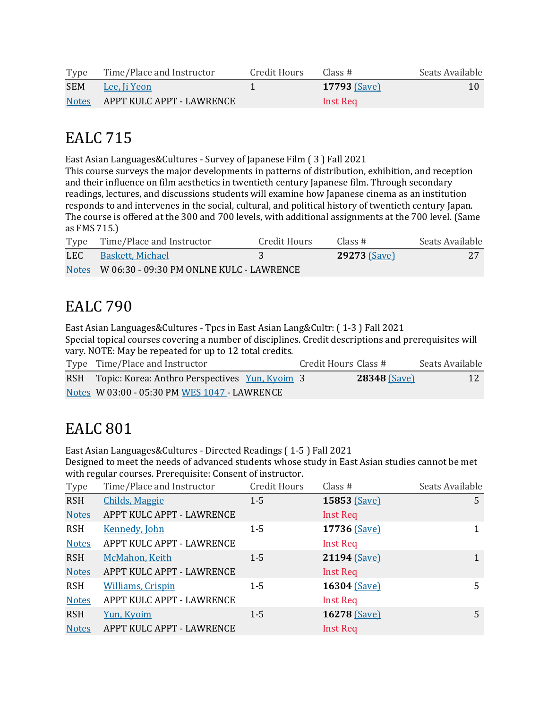| Type         | Time/Place and Instructor | Credit Hours | Class#              | Seats Available |
|--------------|---------------------------|--------------|---------------------|-----------------|
| <b>SEM</b>   | - Lee, Ji Yeon            |              | <b>17793 (Save)</b> | 10              |
| <b>Notes</b> | APPT KULC APPT - LAWRENCE |              | Inst Req            |                 |

## EALC 715

East Asian Languages&Cultures - Survey of Japanese Film (3) Fall 2021

This course surveys the major developments in patterns of distribution, exhibition, and reception and their influence on film aesthetics in twentieth century Japanese film. Through secondary readings, lectures, and discussions students will examine how Japanese cinema as an institution responds to and intervenes in the social, cultural, and political history of twentieth century Japan. The course is offered at the 300 and 700 levels, with additional assignments at the 700 level. (Same as FMS 715.)

|     | Type Time/Place and Instructor                 | Credit Hours | Class #             | Seats Available |
|-----|------------------------------------------------|--------------|---------------------|-----------------|
| LEC | – Baskett, Michael                             |              | <b>29273 (Save)</b> |                 |
|     | Notes W 06:30 - 09:30 PM ONLNE KULC - LAWRENCE |              |                     |                 |

## **EALC** 790

East Asian Languages&Cultures - Tpcs in East Asian Lang&Cultr: (1-3) Fall 2021 Special topical courses covering a number of disciplines. Credit descriptions and prerequisites will vary. NOTE: May be repeated for up to 12 total credits.

| Type Time/Place and Instructor                     | Credit Hours Class # |                     | Seats Available |
|----------------------------------------------------|----------------------|---------------------|-----------------|
| RSH Topic: Korea: Anthro Perspectives Yun, Kyoim 3 |                      | <b>28348 (Save)</b> |                 |
| Notes W 03:00 - 05:30 PM WES 1047 - LAWRENCE       |                      |                     |                 |

## **EALC** 801

East Asian Languages&Cultures - Directed Readings (1-5) Fall 2021

Designed to meet the needs of advanced students whose study in East Asian studies cannot be met with regular courses. Prerequisite: Consent of instructor.

| Type         | Time/Place and Instructor | <b>Credit Hours</b> | Class $#$       | Seats Available |
|--------------|---------------------------|---------------------|-----------------|-----------------|
| <b>RSH</b>   | <b>Childs, Maggie</b>     | $1 - 5$             | 15853 (Save)    | 5               |
| <b>Notes</b> | APPT KULC APPT - LAWRENCE |                     | <b>Inst Req</b> |                 |
| <b>RSH</b>   | <b>Kennedy, John</b>      | $1 - 5$             | 17736 (Save)    | 1               |
| <b>Notes</b> | APPT KULC APPT - LAWRENCE |                     | <b>Inst Req</b> |                 |
| <b>RSH</b>   | McMahon, Keith            | $1 - 5$             | 21194 (Save)    | 1               |
| <b>Notes</b> | APPT KULC APPT - LAWRENCE |                     | Inst Req        |                 |
| <b>RSH</b>   | <b>Williams, Crispin</b>  | $1 - 5$             | 16304 (Save)    | 5               |
| <b>Notes</b> | APPT KULC APPT - LAWRENCE |                     | <b>Inst Req</b> |                 |
| <b>RSH</b>   | Yun, Kyoim                | $1 - 5$             | 16278 (Save)    | 5               |
| <b>Notes</b> | APPT KULC APPT - LAWRENCE |                     | <b>Inst Req</b> |                 |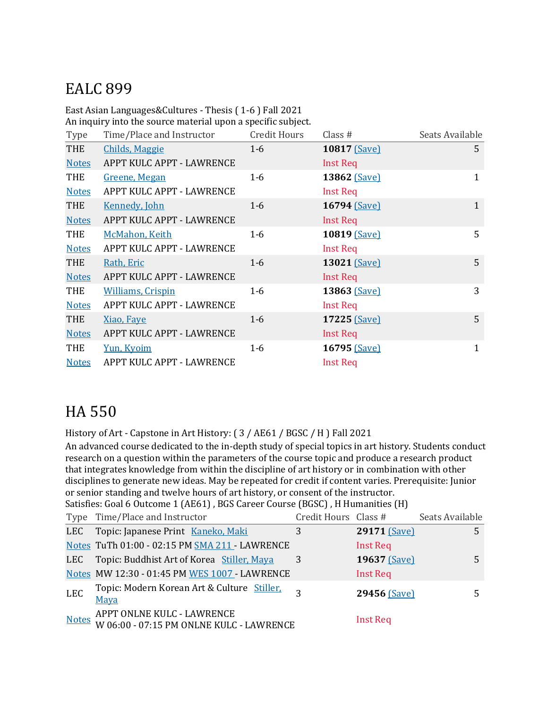# EALC 899

East Asian Languages&Cultures - Thesis (1-6) Fall 2021

An inquiry into the source material upon a specific subject.

| Type         | Time/Place and Instructor | Credit Hours | Class $#$       | Seats Available |
|--------------|---------------------------|--------------|-----------------|-----------------|
| <b>THE</b>   | <b>Childs, Maggie</b>     | $1 - 6$      | 10817 (Save)    | 5               |
| <b>Notes</b> | APPT KULC APPT - LAWRENCE |              | Inst Req        |                 |
| <b>THE</b>   | Greene, Megan             | $1-6$        | 13862 (Save)    | 1               |
| <b>Notes</b> | APPT KULC APPT - LAWRENCE |              | <b>Inst Req</b> |                 |
| <b>THE</b>   | <b>Kennedy, John</b>      | $1-6$        | 16794 (Save)    | $\mathbf{1}$    |
| <b>Notes</b> | APPT KULC APPT - LAWRENCE |              | <b>Inst Req</b> |                 |
| THE          | McMahon, Keith            | $1-6$        | 10819 (Save)    | 5               |
| <b>Notes</b> | APPT KULC APPT - LAWRENCE |              | <b>Inst Req</b> |                 |
| <b>THE</b>   | Rath, Eric                | $1-6$        | 13021 (Save)    | 5               |
| <b>Notes</b> | APPT KULC APPT - LAWRENCE |              | Inst Req        |                 |
| <b>THE</b>   | <b>Williams, Crispin</b>  | $1-6$        | 13863 (Save)    | 3               |
| <b>Notes</b> | APPT KULC APPT - LAWRENCE |              | Inst Req        |                 |
| <b>THE</b>   | Xiao, Faye                | $1-6$        | 17225 (Save)    | 5               |
| <b>Notes</b> | APPT KULC APPT - LAWRENCE |              | Inst Req        |                 |
| THE          | Yun, Kyoim                | $1-6$        | 16795 (Save)    | 1               |
| <b>Notes</b> | APPT KULC APPT - LAWRENCE |              | <b>Inst Req</b> |                 |

### HA 550

History of Art - Capstone in Art History: (3 / AE61 / BGSC / H ) Fall 2021

An advanced course dedicated to the in-depth study of special topics in art history. Students conduct research on a question within the parameters of the course topic and produce a research product that integrates knowledge from within the discipline of art history or in combination with other disciplines to generate new ideas. May be repeated for credit if content varies. Prerequisite: Junior or senior standing and twelve hours of art history, or consent of the instructor.

Satisfies: Goal 6 Outcome 1 (AE61), BGS Career Course (BGSC), H Humanities (H)

|              | Type Time/Place and Instructor                                         | Credit Hours Class # |                 | Seats Available |
|--------------|------------------------------------------------------------------------|----------------------|-----------------|-----------------|
|              | LEC Topic: Japanese Print Kaneko, Maki                                 | 3                    | 29171 [Save]    | 5               |
|              | Notes TuTh 01:00 - 02:15 PM SMA 211 - LAWRENCE                         |                      | <b>Inst Req</b> |                 |
| LEC          | Topic: Buddhist Art of Korea Stiller, Maya                             | 3                    | 19637 (Save)    | 5               |
|              | Notes MW 12:30 - 01:45 PM WES 1007 - LAWRENCE                          |                      | <b>Inst Req</b> |                 |
| <b>LEC</b>   | Topic: Modern Korean Art & Culture Stiller,<br>Maya                    | ς                    | 29456 (Save)    | 5.              |
| <b>Notes</b> | APPT ONLNE KULC - LAWRENCE<br>W 06:00 - 07:15 PM ONLNE KULC - LAWRENCE |                      | <b>Inst Req</b> |                 |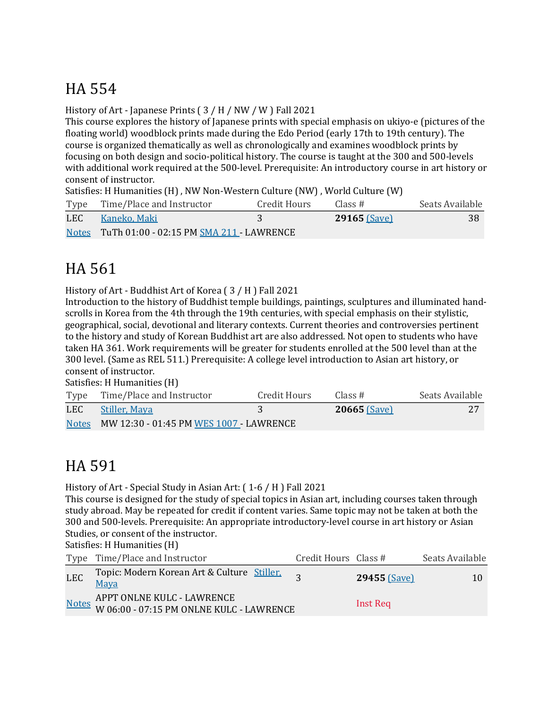# HA 554

History of Art - Japanese Prints  $(3/H/NW/W)$  Fall 2021

This course explores the history of Japanese prints with special emphasis on ukiyo-e (pictures of the floating world) woodblock prints made during the Edo Period (early 17th to 19th century). The course is organized thematically as well as chronologically and examines woodblock prints by focusing on both design and socio-political history. The course is taught at the 300 and 500-levels with additional work required at the 500-level. Prerequisite: An introductory course in art history or consent of instructor.

Satisfies: H Humanities (H), NW Non-Western Culture (NW), World Culture (W)

|     | Type Time/Place and Instructor                 | Credit Hours | Class #        | Seats Available |
|-----|------------------------------------------------|--------------|----------------|-----------------|
| LEC | - Kaneko, Maki                                 |              | $29165$ (Save) | 38              |
|     | Notes TuTh 01:00 - 02:15 PM SMA 211 - LAWRENCE |              |                |                 |

# HA 561

History of Art - Buddhist Art of Korea (3 / H ) Fall 2021

Introduction to the history of Buddhist temple buildings, paintings, sculptures and illuminated handscrolls in Korea from the 4th through the 19th centuries, with special emphasis on their stylistic, geographical, social, devotional and literary contexts. Current theories and controversies pertinent to the history and study of Korean Buddhist art are also addressed. Not open to students who have taken HA 361. Work requirements will be greater for students enrolled at the 500 level than at the 300 level. (Same as REL 511.) Prerequisite: A college level introduction to Asian art history, or consent of instructor.

Satisfies: H Humanities (H)

|     | Type Time/Place and Instructor                | Credit Hours | Class #        | Seats Available |
|-----|-----------------------------------------------|--------------|----------------|-----------------|
| LEC | Stiller, Maya                                 |              | $20665$ (Save) | 27              |
|     | Notes MW 12:30 - 01:45 PM WES 1007 - LAWRENCE |              |                |                 |

## HA 591

History of Art - Special Study in Asian Art:  $(1-6 / H)$  Fall 2021

This course is designed for the study of special topics in Asian art, including courses taken through study abroad. May be repeated for credit if content varies. Same topic may not be taken at both the 300 and 500-levels. Prerequisite: An appropriate introductory-level course in art history or Asian Studies, or consent of the instructor.

Satisfies: H Humanities (H)

|            | Type Time/Place and Instructor                                               | Credit Hours Class # |                     | Seats Available |
|------------|------------------------------------------------------------------------------|----------------------|---------------------|-----------------|
| <b>LEC</b> | Topic: Modern Korean Art & Culture Stiller.<br>Maya                          |                      | <b>29455 (Save)</b> | 10              |
|            | Motes APPT ONLNE KULC - LAWRENCE<br>W 06:00 - 07:15 PM ONLNE KULC - LAWRENCE |                      | Inst Req            |                 |